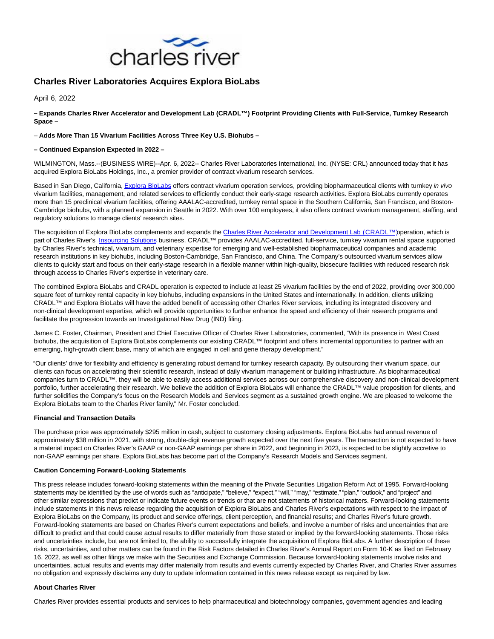

# **Charles River Laboratories Acquires Explora BioLabs**

April 6, 2022

**– Expands Charles River Accelerator and Development Lab (CRADL™) Footprint Providing Clients with Full-Service, Turnkey Research Space –**

## – **Adds More Than 15 Vivarium Facilities Across Three Key U.S. Biohubs –**

### **– Continued Expansion Expected in 2022 –**

WILMINGTON, Mass.--(BUSINESS WIRE)--Apr. 6, 2022-- Charles River Laboratories International, Inc. (NYSE: CRL) announced today that it has acquired Explora BioLabs Holdings, Inc., a premier provider of contract vivarium research services.

Based in San Diego, California[, Explora BioLabs o](https://cts.businesswire.com/ct/CT?id=smartlink&url=https%3A%2F%2Fexplorabiolabs.com%2F&esheet=52655895&newsitemid=20220406005195&lan=en-US&anchor=Explora+BioLabs&index=1&md5=dad898a11b27f373776917a76b136095)ffers contract vivarium operation services, providing biopharmaceutical clients with turnkey in vivo vivarium facilities, management, and related services to efficiently conduct their early-stage research activities. Explora BioLabs currently operates more than 15 preclinical vivarium facilities, offering AAALAC-accredited, turnkey rental space in the Southern California, San Francisco, and Boston-Cambridge biohubs, with a planned expansion in Seattle in 2022. With over 100 employees, it also offers contract vivarium management, staffing, and regulatory solutions to manage clients' research sites.

The acquisition of Explora BioLabs complements and expands the [Charles River Accelerator and Development Lab \(CRADL™\) o](https://cts.businesswire.com/ct/CT?id=smartlink&url=https%3A%2F%2Fwww.criver.com%2Fproducts-services%2Foperations-and-staffing-support%2Fvivarium-rental%3Fregion%3D3601&esheet=52655895&newsitemid=20220406005195&lan=en-US&anchor=Charles+River+Accelerator+and+Development+Lab+%28CRADL%26%238482%3B%29&index=2&md5=e6dca577eb220caf1c788ac9314b908d)peration, which is part of Charles River's [Insourcing Solutions b](https://cts.businesswire.com/ct/CT?id=smartlink&url=https%3A%2F%2Fwww.criver.com%2Fproducts-services%2Foperations-and-staffing-support%2Fvivarium-rental%3Fgclid%3DCjwKCAjw0a-SBhBkEiwApljU0jz6fUL9cySM1PFYYaQHlYOZOjHz_rBIZ6k3q9JzTMQ4jRnjwD5TLxoCa3kQAvD_BwE%26region%3D3601&esheet=52655895&newsitemid=20220406005195&lan=en-US&anchor=Insourcing+Solutions&index=3&md5=024471dfe25907e312752016b99d7272)usiness. CRADL™ provides AAALAC-accredited, full-service, turnkey vivarium rental space supported by Charles River's technical, vivarium, and veterinary expertise for emerging and well-established biopharmaceutical companies and academic research institutions in key biohubs, including Boston-Cambridge, San Francisco, and China. The Company's outsourced vivarium services allow clients to quickly start and focus on their early-stage research in a flexible manner within high-quality, biosecure facilities with reduced research risk through access to Charles River's expertise in veterinary care.

The combined Explora BioLabs and CRADL operation is expected to include at least 25 vivarium facilities by the end of 2022, providing over 300,000 square feet of turnkey rental capacity in key biohubs, including expansions in the United States and internationally. In addition, clients utilizing CRADL™ and Explora BioLabs will have the added benefit of accessing other Charles River services, including its integrated discovery and non-clinical development expertise, which will provide opportunities to further enhance the speed and efficiency of their research programs and facilitate the progression towards an Investigational New Drug (IND) filing.

James C. Foster, Chairman, President and Chief Executive Officer of Charles River Laboratories, commented, "With its presence in West Coast biohubs, the acquisition of Explora BioLabs complements our existing CRADL™ footprint and offers incremental opportunities to partner with an emerging, high-growth client base, many of which are engaged in cell and gene therapy development."

"Our clients' drive for flexibility and efficiency is generating robust demand for turnkey research capacity. By outsourcing their vivarium space, our clients can focus on accelerating their scientific research, instead of daily vivarium management or building infrastructure. As biopharmaceutical companies turn to CRADL™, they will be able to easily access additional services across our comprehensive discovery and non-clinical development portfolio, further accelerating their research. We believe the addition of Explora BioLabs will enhance the CRADL™ value proposition for clients, and further solidifies the Company's focus on the Research Models and Services segment as a sustained growth engine. We are pleased to welcome the Explora BioLabs team to the Charles River family," Mr. Foster concluded.

### **Financial and Transaction Details**

The purchase price was approximately \$295 million in cash, subject to customary closing adjustments. Explora BioLabs had annual revenue of approximately \$38 million in 2021, with strong, double-digit revenue growth expected over the next five years. The transaction is not expected to have a material impact on Charles River's GAAP or non-GAAP earnings per share in 2022, and beginning in 2023, is expected to be slightly accretive to non-GAAP earnings per share. Explora BioLabs has become part of the Company's Research Models and Services segment.

### **Caution Concerning Forward-Looking Statements**

This press release includes forward-looking statements within the meaning of the Private Securities Litigation Reform Act of 1995. Forward-looking statements may be identified by the use of words such as "anticipate," "believe," "expect," "will," "may," "estimate," "plan," "outlook," and "project" and other similar expressions that predict or indicate future events or trends or that are not statements of historical matters. Forward-looking statements include statements in this news release regarding the acquisition of Explora BioLabs and Charles River's expectations with respect to the impact of Explora BioLabs on the Company, its product and service offerings, client perception, and financial results; and Charles River's future growth. Forward-looking statements are based on Charles River's current expectations and beliefs, and involve a number of risks and uncertainties that are difficult to predict and that could cause actual results to differ materially from those stated or implied by the forward-looking statements. Those risks and uncertainties include, but are not limited to, the ability to successfully integrate the acquisition of Explora BioLabs. A further description of these risks, uncertainties, and other matters can be found in the Risk Factors detailed in Charles River's Annual Report on Form 10-K as filed on February 16, 2022, as well as other filings we make with the Securities and Exchange Commission. Because forward-looking statements involve risks and uncertainties, actual results and events may differ materially from results and events currently expected by Charles River, and Charles River assumes no obligation and expressly disclaims any duty to update information contained in this news release except as required by law.

### **About Charles River**

Charles River provides essential products and services to help pharmaceutical and biotechnology companies, government agencies and leading